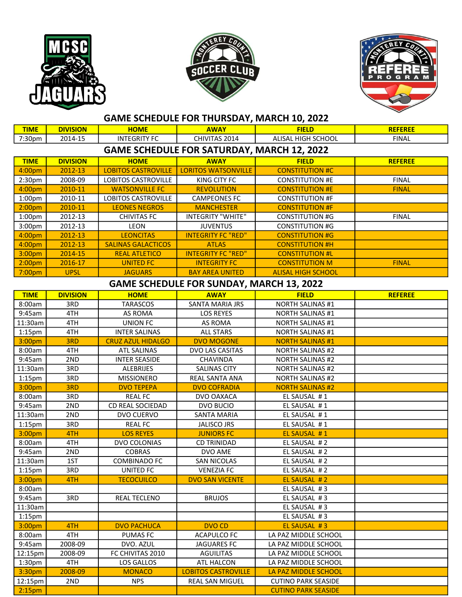





## GAME SCHEDULE FOR THURSDAY, MARCH 10, 2022

| <b>TIME</b>                                       | <b>DIVISION</b> | <b>HOME</b>                | <b>AWAY</b>                | <b>FIELD</b>               | <b>REFEREE</b> |  |  |  |  |
|---------------------------------------------------|-----------------|----------------------------|----------------------------|----------------------------|----------------|--|--|--|--|
| 7:30 <sub>pm</sub>                                | 2014-15         | <b>INTEGRITY FC</b>        | CHIVITAS 2014              | ALISAL HIGH SCHOOL         | <b>FINAL</b>   |  |  |  |  |
| <b>GAME SCHEDULE FOR SATURDAY, MARCH 12, 2022</b> |                 |                            |                            |                            |                |  |  |  |  |
| <b>TIME</b>                                       | <b>DIVISION</b> | <b>HOME</b>                | <b>AWAY</b>                | <b>FIELD</b>               | <b>REFEREE</b> |  |  |  |  |
| 4:00pm                                            | 2012-13         | <b>LOBITOS CASTROVILLE</b> | <b>LORITOS WATSONVILLE</b> | <b>CONSTITUTION #C</b>     |                |  |  |  |  |
| 2:30pm                                            | 2008-09         | <b>LOBITOS CASTROVILLE</b> | KING CITY FC               | <b>CONSTITUTION #E</b>     | <b>FINAL</b>   |  |  |  |  |
| 4:00pm                                            | 2010-11         | <b>WATSONVILLE FC</b>      | <b>REVOLUTION</b>          | <b>CONSTITUTION #E</b>     | <b>FINAL</b>   |  |  |  |  |
| 1:00 <sub>pm</sub>                                | 2010-11         | <b>LOBITOS CASTROVILLE</b> | <b>CAMPEONES FC</b>        | <b>CONSTITUTION #F</b>     |                |  |  |  |  |
| 2:00 <sub>pm</sub>                                | 2010-11         | <b>LEONES NEGROS</b>       | <b>MANCHESTER</b>          | <b>CONSTITUTION #F</b>     |                |  |  |  |  |
| 1:00 <sub>pm</sub>                                | 2012-13         | <b>CHIVITAS FC</b>         | INTEGRITY "WHITE"          | <b>CONSTITUTION #G</b>     | <b>FINAL</b>   |  |  |  |  |
| 3:00pm                                            | 2012-13         | <b>LEON</b>                | <b>JUVENTUS</b>            | <b>CONSTITUTION #G</b>     |                |  |  |  |  |
| 4:00pm                                            | 2012-13         | <b>LEONCITAS</b>           | <b>INTEGRITY FC "RED"</b>  | <b>CONSTITUTION #G</b>     |                |  |  |  |  |
| 4:00pm                                            | 2012-13         | <b>SALINAS GALACTICOS</b>  | <b>ATLAS</b>               | <b>CONSTITUTION #H</b>     |                |  |  |  |  |
| 3:00pm                                            | 2014-15         | <b>REAL ATLETICO</b>       | <b>INTEGRITY FC "RED"</b>  | <b>CONSTITUTION #L</b>     |                |  |  |  |  |
| 2:00 <sub>pm</sub>                                | 2016-17         | <b>UNITED FC</b>           | <b>INTEGRITY FC</b>        | <b>CONSTITUTION M</b>      | <b>FINAL</b>   |  |  |  |  |
| 7:00pm                                            | <b>UPSL</b>     | <b>JAGUARS</b>             | <b>BAY AREA UNITED</b>     | <b>ALISAL HIGH SCHOOL</b>  |                |  |  |  |  |
| <b>GAME SCHEDULE FOR SUNDAY, MARCH 13, 2022</b>   |                 |                            |                            |                            |                |  |  |  |  |
| <b>TIME</b>                                       | <b>DIVISION</b> | <b>HOME</b>                | <b>AWAY</b>                | <b>FIELD</b>               | <b>REFEREE</b> |  |  |  |  |
| 8:00am                                            | 3RD             | <b>TARASCOS</b>            | SANTA MARIA JRS            | <b>NORTH SALINAS #1</b>    |                |  |  |  |  |
| 9:45am                                            | 4TH             | AS ROMA                    | <b>LOS REYES</b>           | <b>NORTH SALINAS #1</b>    |                |  |  |  |  |
| 11:30am                                           | 4TH             | <b>UNION FC</b>            | AS ROMA                    | <b>NORTH SALINAS #1</b>    |                |  |  |  |  |
| $1:15$ pm                                         | 4TH             | <b>INTER SALINAS</b>       | <b>ALL STARS</b>           | <b>NORTH SALINAS #1</b>    |                |  |  |  |  |
| 3:00pm                                            | 3RD             | <b>CRUZ AZUL HIDALGO</b>   | <b>DVO MOGONE</b>          | <b>NORTH SALINAS #1</b>    |                |  |  |  |  |
| 8:00am                                            | 4TH             | <b>ATL SALINAS</b>         | DVO LAS CASITAS            | <b>NORTH SALINAS #2</b>    |                |  |  |  |  |
| 9:45am                                            | 2ND             | <b>INTER SEASIDE</b>       | CHAVINDA                   | <b>NORTH SALINAS #2</b>    |                |  |  |  |  |
| 11:30am                                           | 3RD             | <b>ALEBRIJES</b>           | <b>SALINAS CITY</b>        | <b>NORTH SALINAS #2</b>    |                |  |  |  |  |
| 1:15 <sub>pm</sub>                                | 3RD             | <b>MISSIONERO</b>          | REAL SANTA ANA             | <b>NORTH SALINAS #2</b>    |                |  |  |  |  |
| 3:00pm                                            | 3RD             | <b>DVO TEPEPA</b>          | <b>DVO COFRADIA</b>        | <b>NORTH SALINAS #2</b>    |                |  |  |  |  |
| 8:00am                                            | 3RD             | <b>REAL FC</b>             | DVO OAXACA                 | EL SAUSAL #1               |                |  |  |  |  |
| 9:45am                                            | 2ND             | CD REAL SOCIEDAD           | DVO BUCIO                  | EL SAUSAL #1               |                |  |  |  |  |
| 11:30am                                           | 2ND             | DVO CUERVO                 | <b>SANTA MARIA</b>         | EL SAUSAL #1               |                |  |  |  |  |
| 1:15 <sub>pm</sub>                                | 3RD             | <b>REAL FC</b>             | <b>JALISCO JRS</b>         | EL SAUSAL #1               |                |  |  |  |  |
| 3:00pm                                            | 4TH             | <b>LOS REYES</b>           | <b>JUNIORS FC</b>          | EL SAUSAL #1               |                |  |  |  |  |
| 8:00am                                            | 4TH             | DVO COLONIAS               | <b>CD TRINIDAD</b>         | EL SAUSAL #2               |                |  |  |  |  |
| 9:45am                                            | 2ND             | <b>COBRAS</b>              | DVO AME                    | EL SAUSAL #2               |                |  |  |  |  |
| 11:30am                                           | 1ST             | <b>COMBINADO FC</b>        | <b>SAN NICOLAS</b>         | EL SAUSAL #2               |                |  |  |  |  |
| $1:15$ pm                                         | 3RD             | UNITED FC                  | <b>VENEZIA FC</b>          | EL SAUSAL #2               |                |  |  |  |  |
| 3:00 <sub>pm</sub>                                | 4TH             | <b>TECOCUILCO</b>          | <b>DVO SAN VICENTE</b>     | EL SAUSAL #2               |                |  |  |  |  |
| 8:00am                                            |                 |                            |                            | EL SAUSAL #3               |                |  |  |  |  |
| 9:45am                                            | 3RD             | REAL TECLENO               | <b>BRUJOS</b>              | EL SAUSAL #3               |                |  |  |  |  |
| 11:30am                                           |                 |                            |                            | EL SAUSAL #3               |                |  |  |  |  |
| 1:15 <sub>pm</sub>                                |                 |                            |                            | EL SAUSAL #3               |                |  |  |  |  |
| 3:00pm                                            | 4TH             | <b>DVO PACHUCA</b>         | <b>DVO CD</b>              | EL SAUSAL #3               |                |  |  |  |  |
| 8:00am                                            | 4TH             | <b>PUMAS FC</b>            | <b>ACAPULCO FC</b>         | LA PAZ MIDDLE SCHOOL       |                |  |  |  |  |
| 9:45am                                            | 2008-09         | DVO. AZUL                  | <b>JAGUARES FC</b>         | LA PAZ MIDDLE SCHOOL       |                |  |  |  |  |
| 12:15pm                                           | 2008-09         | FC CHIVITAS 2010           | AGUILITAS                  | LA PAZ MIDDLE SCHOOL       |                |  |  |  |  |
| 1:30 <sub>pm</sub>                                | 4TH             | LOS GALLOS                 | ATL HALCON                 | LA PAZ MIDDLE SCHOOL       |                |  |  |  |  |
| 3:30pm                                            | 2008-09         | <b>MONACO</b>              | <b>LOBITOS CASTROVILLE</b> | LA PAZ MIDDLE SCHOOL       |                |  |  |  |  |
| 12:15pm                                           | 2ND             | <b>NPS</b>                 | REAL SAN MIGUEL            | <b>CUTINO PARK SEASIDE</b> |                |  |  |  |  |
| 2:15 <sub>pm</sub>                                |                 |                            |                            | <b>CUTINO PARK SEASIDE</b> |                |  |  |  |  |